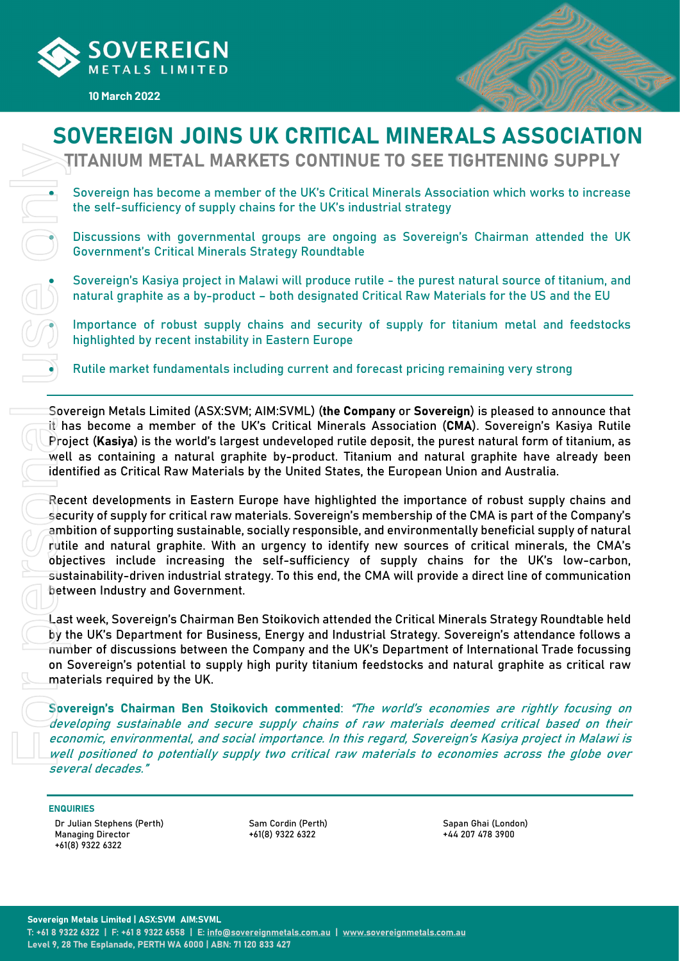

10 March 2022



# SOVEREIGN JOINS UK CRITICAL MINERALS ASSOCIATION

TITANIUM METAL MARKETS CONTINUE TO SEE TIGHTENING SUPPLY

 Sovereign has become a member of the UK's Critical Minerals Association which works to increase the self-sufficiency of supply chains for the UK's industrial strategy

 Discussions with governmental groups are ongoing as Sovereign's Chairman attended the UK Government's Critical Minerals Strategy Roundtable

 Sovereign's Kasiya project in Malawi will produce rutile - the purest natural source of titanium, and natural graphite as a by-product – both designated Critical Raw Materials for the US and the EU

 Importance of robust supply chains and security of supply for titanium metal and feedstocks highlighted by recent instability in Eastern Europe

Rutile market fundamentals including current and forecast pricing remaining very strong

Sovereign Metals Limited (ASX:SVM; AIM:SVML) (the Company or Sovereign) is pleased to announce that it has become a member of the UK's Critical Minerals Association (CMA). Sovereign's Kasiya Rutile Project (Kasiya) is the world's largest undeveloped rutile deposit, the purest natural form of titanium, as well as containing a natural graphite by-product. Titanium and natural graphite have already been identified as Critical Raw Materials by the United States, the European Union and Australia.

Recent developments in Eastern Europe have highlighted the importance of robust supply chains and security of supply for critical raw materials. Sovereign's membership of the CMA is part of the Company's ambition of supporting sustainable, socially responsible, and environmentally beneficial supply of natural rutile and natural graphite. With an urgency to identify new sources of critical minerals, the CMA's objectives include increasing the self-sufficiency of supply chains for the UK's low-carbon, sustainability-driven industrial strategy. To this end, the CMA will provide a direct line of communication between Industry and Government.

Last week, Sovereign's Chairman Ben Stoikovich attended the Critical Minerals Strategy Roundtable held by the UK's Department for Business, Energy and Industrial Strategy. Sovereign's attendance follows a number of discussions between the Company and the UK's Department of International Trade focussing on Sovereign's potential to supply high purity titanium feedstocks and natural graphite as critical raw materials required by the UK.

Sovereign's Chairman Ben Stoikovich commented: "The world's economies are rightly focusing on developing sustainable and secure supply chains of raw materials deemed critical based on their economic, environmental, and social importance. In this regard, Sovereign's Kasiya project in Malawi is well positioned to potentially supply two critical raw materials to economies across the globe over several decades."

#### ENQUIRIES

Dr Julian Stephens (Perth) Managing Director +61(8) 9322 6322

Sam Cordin (Perth) +61(8) 9322 6322

Sapan Ghai (London)  $+44.29747483900$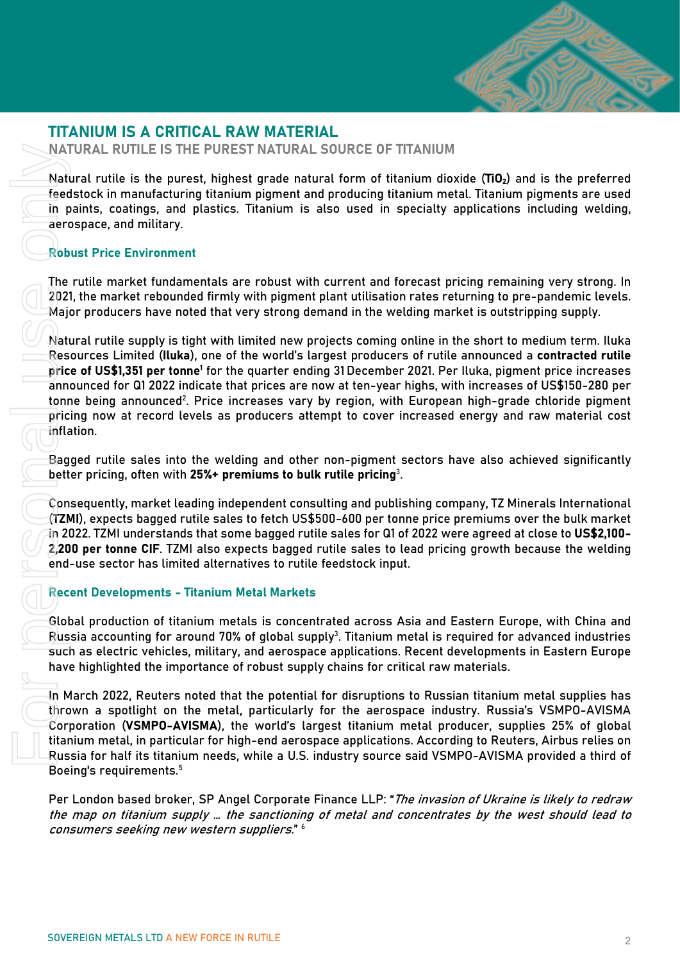

## TITANIUM IS A CRITICAL RAW MATERIAL

NATURAL RUTILE IS THE PUREST NATURAL SOURCE OF TITANIUM

Natural rutile is the purest, highest grade natural form of titanium dioxide ( $TiO<sub>2</sub>$ ) and is the preferred feedstock in manufacturing titanium pigment and producing titanium metal. Titanium pigments are used in paints, coatings, and plastics. Titanium is also used in specialty applications including welding, aerospace, and military.

#### Robust Price Environment

The rutile market fundamentals are robust with current and forecast pricing remaining very strong. In 2021, the market rebounded firmly with pigment plant utilisation rates returning to pre-pandemic levels. Major producers have noted that very strong demand in the welding market is outstripping supply.

Natural rutile supply is tight with limited new projects coming online in the short to medium term. Iluka Resources Limited (Iluka), one of the world's largest producers of rutile announced a contracted rutile price of US\$1,351 per tonne<sup>1</sup> for the quarter ending 31 December 2021. Per Iluka, pigment price increases announced for Q1 2022 indicate that prices are now at ten-year highs, with increases of US\$150-280 per tonne being announced $^2$ . Price increases vary by region, with European high-grade chloride pigment pricing now at record levels as producers attempt to cover increased energy and raw material cost inflation. NATURAL RUTILE IS THE PUREST NATURA<br>
Natural rutile is the purest, highest grade na<br>
feedstock in manufacturing ittanium pigment is<br>
are in paints, coatings, and platsics. Titanium is<br>
are rospace, and military.<br>
Robust P

Bagged rutile sales into the welding and other non-pigment sectors have also achieved significantly better pricing, often with 25%+ premiums to bulk rutile pricing $^3$ .

Consequently, market leading independent consulting and publishing company, TZ Minerals International (TZMI), expects bagged rutile sales to fetch US\$500-600 per tonne price premiums over the bulk market in 2022. TZMI understands that some bagged rutile sales for Q1 of 2022 were agreed at close to US\$2,100- 2,200 per tonne CIF. TZMI also expects bagged rutile sales to lead pricing growth because the welding end-use sector has limited alternatives to rutile feedstock input.

## Recent Developments - Titanium Metal Markets

Global production of titanium metals is concentrated across Asia and Eastern Europe, with China and Russia accounting for around 70% of global supply $^3$ . Titanium metal is required for advanced industries such as electric vehicles, military, and aerospace applications. Recent developments in Eastern Europe have highlighted the importance of robust supply chains for critical raw materials.

In March 2022, Reuters noted that the potential for disruptions to Russian titanium metal supplies has thrown a spotlight on the metal, particularly for the aerospace industry. Russia's VSMPO-AVISMA Corporation (VSMPO-AVISMA), the world's largest titanium metal producer, supplies 25% of global titanium metal, in particular for high-end aerospace applications. According to Reuters, Airbus relies on Russia for half its titanium needs, while a U.S. industry source said VSMPO-AVISMA provided a third of Boeing's requirements.<sup>5</sup>

Per London based broker, SP Angel Corporate Finance LLP: "The invasion of Ukraine is likely to redraw the map on titanium supply … the sanctioning of metal and concentrates by the west should lead to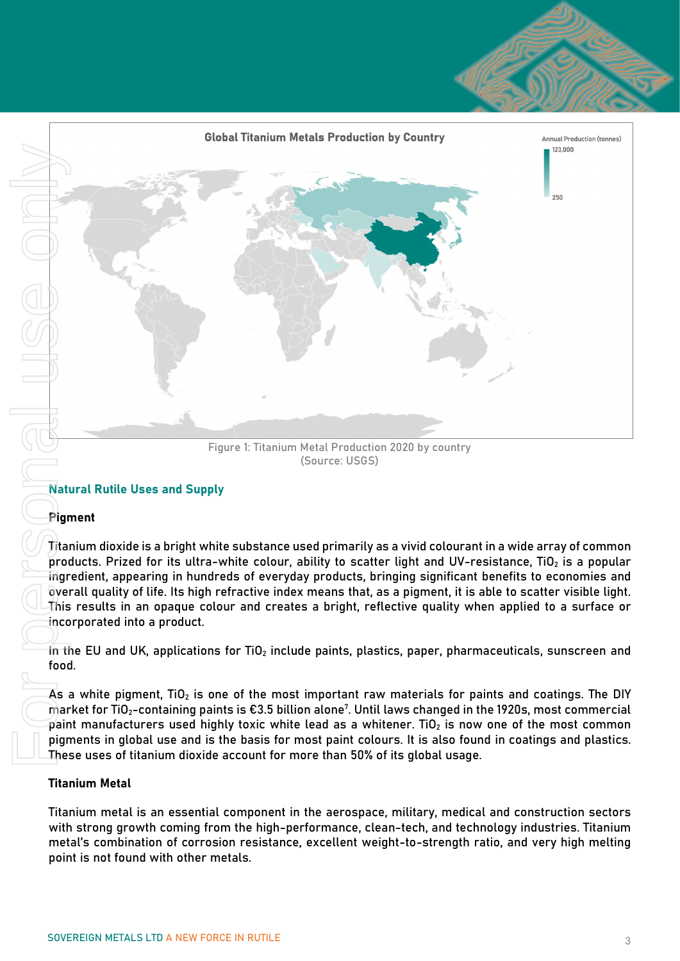

Figure 1: Titanium Metal Production 2020 by country (Source: USGS)

## Natural Rutile Uses and Supply

## Pigment

Titanium dioxide is a bright white substance used primarily as a vivid colourant in a wide array of common products. Prized for its ultra-white colour, ability to scatter light and UV-resistance, TiO<sub>2</sub> is a popular ingredient, appearing in hundreds of everyday products, bringing significant benefits to economies and overall quality of life. Its high refractive index means that, as a pigment, it is able to scatter visible light. This results in an opaque colour and creates a bright, reflective quality when applied to a surface or incorporated into a product.

 $\overline{1}$  in the EU and UK, applications for TiO<sub>2</sub> include paints, plastics, paper, pharmaceuticals, sunscreen and food.

As a white pigment,  $TiO<sub>2</sub>$  is one of the most important raw materials for paints and coatings. The DIY  $\mathfrak m$ arket for TiO $_2$ -containing paints is €3.5 billion alone $^7$ . Until laws changed in the 1920s, most commercial paint manufacturers used highly toxic white lead as a whitener. TiO<sub>2</sub> is now one of the most common pigments in global use and is the basis for most paint colours. It is also found in coatings and plastics. These uses of titanium dioxide account for more than 50% of its global usage.

## Titanium Metal

Titanium metal is an essential component in the aerospace, military, medical and construction sectors with strong growth coming from the high-performance, clean-tech, and technology industries. Titanium metal's combination of corrosion resistance, excellent weight-to-strength ratio, and very high melting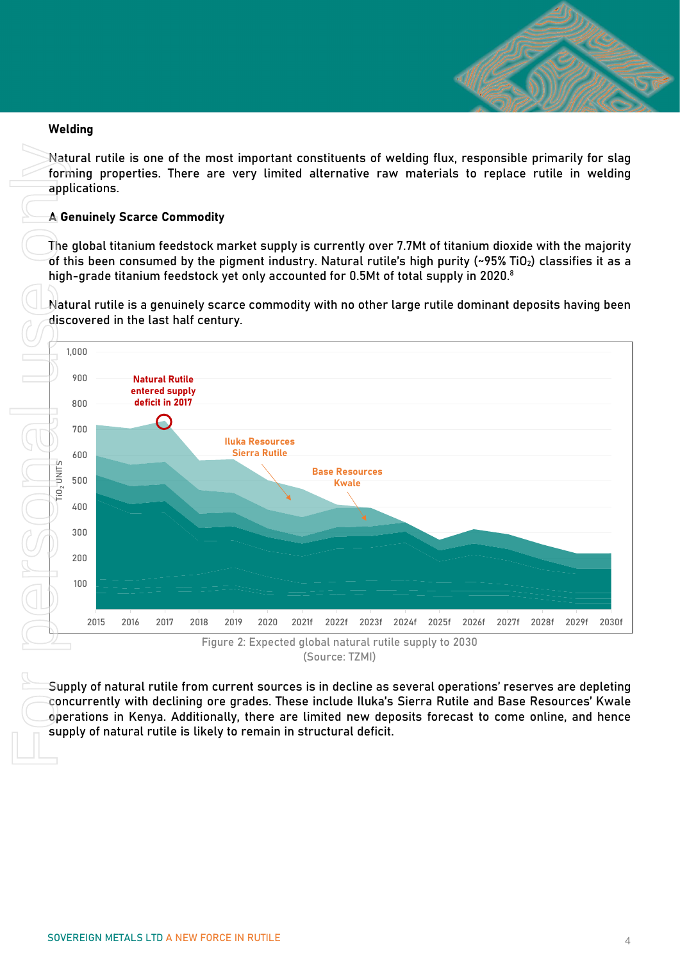

#### Welding

Natural rutile is one of the most important constituents of welding flux, responsible primarily for slag forming properties. There are very limited alternative raw materials to replace rutile in welding applications.

### **A Genuinely Scarce Commodity**

The global titanium feedstock market supply is currently over 7.7Mt of titanium dioxide with the majority of this been consumed by the pigment industry. Natural rutile's high purity (~95% TiO<sub>2</sub>) classifies it as a high-grade titanium feedstock yet only accounted for 0.5Mt of total supply in 2020. $^8$ 

Natural rutile is a genuinely scarce commodity with no other large rutile dominant deposits having been discovered in the last half century.



(Source: TZMI)

Supply of natural rutile from current sources is in decline as several operations' reserves are depleting concurrently with declining ore grades. These include Iluka's Sierra Rutile and Base Resources' Kwale operations in Kenya. Additionally, there are limited new deposits forecast to come online, and hence